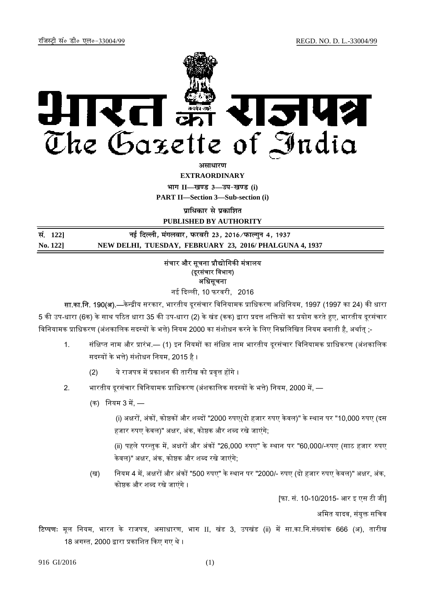

असाधा**र**ण

**EXTRAORDINARY**

**Hkkx II—[k.M 3—mi&[k.M (i)**

**PART II—Section 3—Sub-section (i)** 

**पाधिकार से पका**शित

**PUBLISHED BY AUTHORITY**

| सं. 1221 | नई दिल्ली, मंगलवार, फरवरी 23, 2016 ∕फाल्गुन 4, 1937    |
|----------|--------------------------------------------------------|
| No. 1221 | NEW DELHI, TUESDAY, FEBRUARY 23, 2016/PHALGUNA 4, 1937 |

# संचार और सूचना प्रौद्योगिकी मंत्रालय (दूरसंचार विभाग) अधिसूचना

नई ᳰद᭨ ली, 10 फरवरी, 2016

सा.का.नि. 190(अ).—केन्द्रीय सरकार, भारतीय दूरसंचार विनियामक प्राधिकरण अधिनियम, 1997 (1997 का 24) की धारा 5 की उप-धारा (6क) के साथ पठित धारा 35 की उप-धारा (2) के खंड (कक) द्वारा प्रदत्त शक्तियों का प्रयोग करते हए, भारतीय दूरसंचार विनियामक प्राधिकरण (अंशकालिक सदस्यों के भत्ते) नियम 2000 का संशोधन करने के लिए निम्नलिखित नियम बनाती है, अर्थात् ;-

- 1. संक्षिप्त नाम और प्रारंभ.— (1) इन नियमों का संक्षिप्त नाम भारतीय दरसंचार विनियामक प्राधिकरण (अंशकालिक सदस्यों के भत्ते) संशोधन नियम, 2015 है ।
	- (2) ये राजपत्र में प्रकाशन की तारीख को प्रवृत्त होंगे ।
- 2. भारतीय दूरसंचार विनियामक प्राधिकरण (अंशकालिक सदस्यों के भत्ते) नियम, 2000 में,
	- (क) नियम 3 में. —

(i) अᭃरᲂ, अंकᲂ, को᳧कᲂ और श᭣दᲂ "2000 ᱧपए(दो हजार ᱧपए के वल)" के ᭭थान पर "10,000 ᱧपए (दस हजार रुपए केवल)" अक्षर, अंक, कोष्ठक और शब्द रखे जाएंगे;

(ii) पहले परन्तुक में, अक्षरों और अंकों "26,000 रुपए" के स्थान पर "60,000/-रुपए (साठ हजार रुपए केवल)" अक्षर, अंक, कोष्ठक और शब्द रखे जाएंगे;

(ख) नियम 4 में, अक्षरों और अंकों "500 रुपए" के स्थान पर "2000/- रुपए (दो हजार रुपए केवल)" अक्षर, अंक, कोष्ठक और शब्द रखे जाएंगे ।

[फा. सं. 10-10/2015- आर इ एस टी जी]

अमित यादव, संयुक्त सचिव

टिप्पणः मूल नियम, भारत के राजपत्र, असाधारण, भाग II, खंड 3, उपखंड (ii) में सा.का.नि.संख्यांक 666 (अ), तारीख 18 अगस्त, 2000 द्वारा प्रकाशित किए गए थे ।

916 GI/2016 (1)